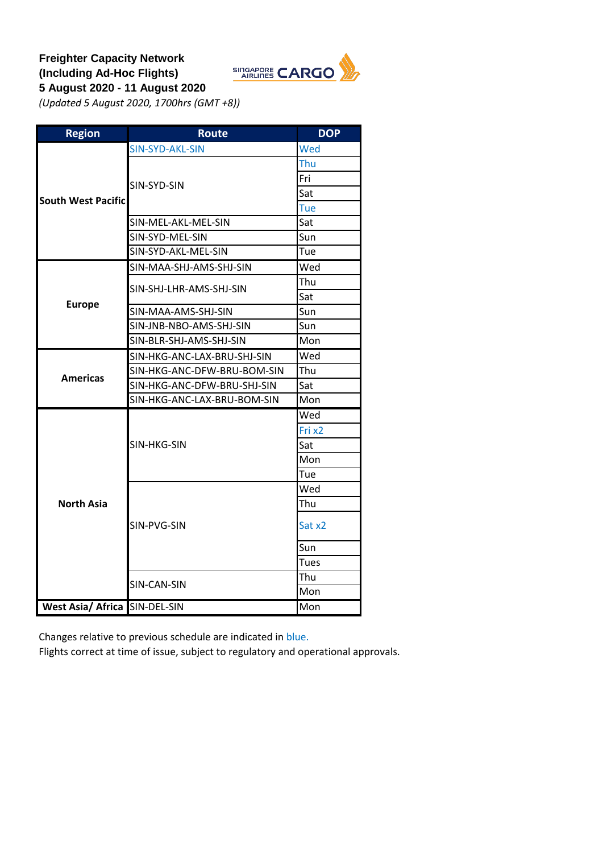## **Freighter Capacity Network (Including Ad-Hoc Flights) 5 August 2020 - 11 August 2020**



*(Updated 5 August 2020, 1700hrs (GMT +8))*

| <b>Region</b>             | <b>Route</b>                | <b>DOP</b>  |
|---------------------------|-----------------------------|-------------|
|                           | <b>SIN-SYD-AKL-SIN</b>      | Wed         |
|                           |                             | Thu         |
|                           | SIN-SYD-SIN                 | Fri         |
| <b>South West Pacific</b> |                             | Sat         |
|                           |                             | Tue         |
|                           | SIN-MEL-AKL-MEL-SIN         | Sat         |
|                           | SIN-SYD-MEL-SIN             | Sun         |
|                           | SIN-SYD-AKL-MEL-SIN         | Tue         |
|                           | SIN-MAA-SHJ-AMS-SHJ-SIN     | Wed         |
| <b>Europe</b>             | SIN-SHJ-LHR-AMS-SHJ-SIN     | Thu         |
|                           |                             | Sat         |
|                           | SIN-MAA-AMS-SHJ-SIN         | Sun         |
|                           | SIN-JNB-NBO-AMS-SHJ-SIN     | Sun         |
|                           | SIN-BLR-SHJ-AMS-SHJ-SIN     | Mon         |
|                           | SIN-HKG-ANC-LAX-BRU-SHJ-SIN | Wed         |
|                           | SIN-HKG-ANC-DFW-BRU-BOM-SIN | Thu         |
|                           | SIN-HKG-ANC-DFW-BRU-SHJ-SIN | Sat         |
| <b>Americas</b>           | SIN-HKG-ANC-LAX-BRU-BOM-SIN | Mon         |
|                           |                             | Wed         |
|                           |                             | Fri x2      |
|                           | SIN-HKG-SIN                 | Sat         |
|                           |                             | Mon         |
|                           |                             | Tue         |
|                           |                             | Wed         |
| <b>North Asia</b>         |                             | Thu         |
|                           | SIN-PVG-SIN                 | Sat x2      |
|                           |                             | Sun         |
|                           |                             | <b>Tues</b> |
|                           | SIN-CAN-SIN                 | Thu         |
|                           |                             | Mon         |
| <b>West Asia/ Africa</b>  | SIN-DEL-SIN                 | Mon         |

Changes relative to previous schedule are indicated in blue.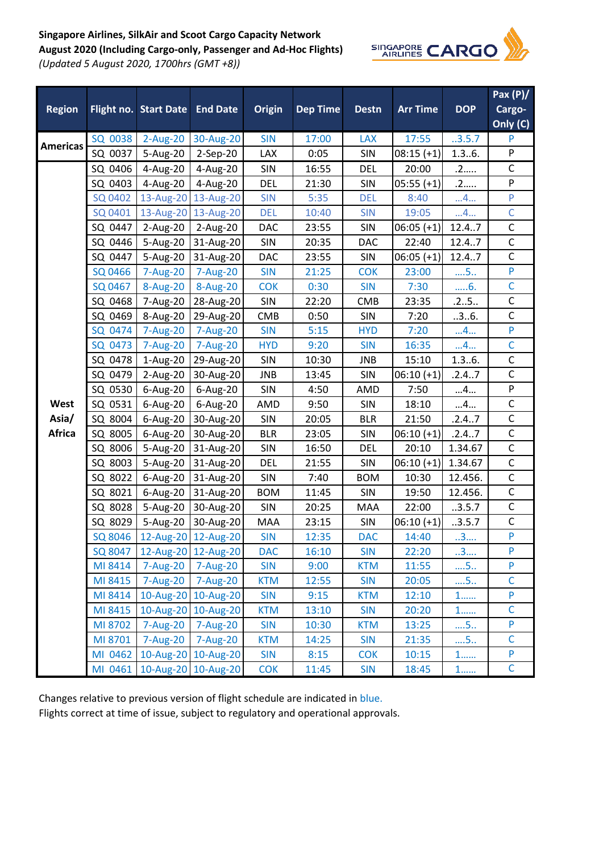## **Singapore Airlines, SilkAir and Scoot Cargo Capacity Network**

**August 2020 (Including Cargo-only, Passenger and Ad-Hoc Flights)** *(Updated 5 August 2020, 1700hrs (GMT +8))*



|                 |         |                                |                     |               |                 |              |                 |            | Pax $(P)/$                                                                                        |
|-----------------|---------|--------------------------------|---------------------|---------------|-----------------|--------------|-----------------|------------|---------------------------------------------------------------------------------------------------|
| <b>Region</b>   |         | Flight no. Start Date End Date |                     | <b>Origin</b> | <b>Dep Time</b> | <b>Destn</b> | <b>Arr Time</b> | <b>DOP</b> | Cargo-                                                                                            |
|                 |         |                                |                     |               |                 |              |                 |            | Only (C)                                                                                          |
|                 | SQ 0038 | 2-Aug-20                       | 30-Aug-20           | <b>SIN</b>    | 17:00           | <b>LAX</b>   | 17:55           | .3.5.7     | P                                                                                                 |
| <b>Americas</b> | SQ 0037 | 5-Aug-20                       | 2-Sep-20            | LAX           | 0:05            | <b>SIN</b>   | $08:15 (+1)$    | 1.36.      | P                                                                                                 |
|                 | SQ 0406 | 4-Aug-20                       | 4-Aug-20            | SIN           | 16:55           | <b>DEL</b>   | 20:00           | .2         | $\mathsf C$                                                                                       |
|                 | SQ 0403 | 4-Aug-20                       | 4-Aug-20            | <b>DEL</b>    | 21:30           | SIN          | $05:55 (+1)$    | .2         | P                                                                                                 |
|                 | SQ 0402 |                                | 13-Aug-20 13-Aug-20 | <b>SIN</b>    | 5:35            | <b>DEL</b>   | 8:40            | 4          | $\mathsf{P}% _{0}\left( \mathcal{A}_{0}\right) \equiv\mathsf{P}_{0}\left( \mathcal{A}_{0}\right)$ |
|                 | SQ 0401 |                                | 13-Aug-20 13-Aug-20 | <b>DEL</b>    | 10:40           | <b>SIN</b>   | 19:05           | 4          | $\overline{C}$                                                                                    |
|                 | SQ 0447 | 2-Aug-20                       | 2-Aug-20            | DAC           | 23:55           | <b>SIN</b>   | $06:05 (+1)$    | 12.47      | $\mathsf C$                                                                                       |
|                 | SQ 0446 | 5-Aug-20                       | 31-Aug-20           | SIN           | 20:35           | DAC          | 22:40           | 12.4.7     | $\mathsf{C}$                                                                                      |
|                 | SQ 0447 | 5-Aug-20                       | 31-Aug-20           | DAC           | 23:55           | <b>SIN</b>   | $06:05 (+1)$    | 12.47      | $\mathsf{C}$                                                                                      |
|                 | SQ 0466 | 7-Aug-20                       | 7-Aug-20            | <b>SIN</b>    | 21:25           | <b>COK</b>   | 23:00           | $\dots$ 5  | $\mathsf{P}$                                                                                      |
|                 | SQ 0467 | 8-Aug-20                       | 8-Aug-20            | <b>COK</b>    | 0:30            | <b>SIN</b>   | 7:30            | 6.         | $\overline{C}$                                                                                    |
|                 | SQ 0468 | 7-Aug-20                       | 28-Aug-20           | SIN           | 22:20           | <b>CMB</b>   | 23:35           | .25        | $\mathsf C$                                                                                       |
|                 | SQ 0469 | 8-Aug-20                       | 29-Aug-20           | <b>CMB</b>    | 0:50            | SIN          | 7:20            | .3.6.      | $\mathsf{C}$                                                                                      |
|                 | SQ 0474 | 7-Aug-20                       | 7-Aug-20            | <b>SIN</b>    | 5:15            | <b>HYD</b>   | 7:20            | 4          | $\mathsf{P}$                                                                                      |
|                 | SQ 0473 | 7-Aug-20                       | 7-Aug-20            | <b>HYD</b>    | 9:20            | <b>SIN</b>   | 16:35           | 4          | $\mathsf{C}$                                                                                      |
|                 | SQ 0478 | 1-Aug-20                       | 29-Aug-20           | SIN           | 10:30           | JNB          | 15:10           | 1.36.      | $\mathsf C$                                                                                       |
|                 | SQ 0479 | 2-Aug-20                       | 30-Aug-20           | <b>JNB</b>    | 13:45           | <b>SIN</b>   | $06:10 (+1)$    | .2.4.7     | $\overline{C}$                                                                                    |
|                 | SQ 0530 | 6-Aug-20                       | 6-Aug-20            | SIN           | 4:50            | AMD          | 7:50            | 4          | $\boldsymbol{\mathsf{P}}$                                                                         |
| West            | SQ 0531 | 6-Aug-20                       | 6-Aug-20            | AMD           | 9:50            | SIN          | 18:10           | 4          | $\mathsf C$                                                                                       |
| Asia/           | SQ 8004 | 6-Aug-20                       | 30-Aug-20           | <b>SIN</b>    | 20:05           | <b>BLR</b>   | 21:50           | .2.47      | $\mathsf{C}$                                                                                      |
| <b>Africa</b>   | SQ 8005 | 6-Aug-20                       | 30-Aug-20           | <b>BLR</b>    | 23:05           | SIN          | $06:10 (+1)$    | .2.4.7     | $\mathsf C$                                                                                       |
|                 | SQ 8006 | 5-Aug-20                       | 31-Aug-20           | SIN           | 16:50           | <b>DEL</b>   | 20:10           | 1.34.67    | $\mathsf{C}$                                                                                      |
|                 | SQ 8003 | 5-Aug-20                       | 31-Aug-20           | <b>DEL</b>    | 21:55           | <b>SIN</b>   | $06:10 (+1)$    | 1.34.67    | $\overline{C}$                                                                                    |
|                 | SQ 8022 | 6-Aug-20                       | 31-Aug-20           | <b>SIN</b>    | 7:40            | <b>BOM</b>   | 10:30           | 12.456.    | $\mathsf C$                                                                                       |
|                 | SQ 8021 | 6-Aug-20                       | 31-Aug-20           | <b>BOM</b>    | 11:45           | <b>SIN</b>   | 19:50           | 12.456.    | $\mathsf C$                                                                                       |
|                 | SQ 8028 | 5-Aug-20                       | 30-Aug-20           | <b>SIN</b>    | 20:25           | <b>MAA</b>   | 22:00           | .3.5.7     | $\mathsf C$                                                                                       |
|                 | SQ 8029 | 5-Aug-20                       | 30-Aug-20           | MAA           | 23:15           | SIN          | $06:10 (+1)$    | .3.5.7     | $\mathsf C$                                                                                       |
|                 |         | SQ 8046 12-Aug-20 12-Aug-20    |                     | <b>SIN</b>    | 12:35           | <b>DAC</b>   | 14:40           | .3.        | ${\sf P}$                                                                                         |
|                 | SQ 8047 | 12-Aug-20 12-Aug-20            |                     | <b>DAC</b>    | 16:10           | <b>SIN</b>   | 22:20           | 3          | P                                                                                                 |
|                 | MI 8414 | 7-Aug-20 7-Aug-20              |                     | <b>SIN</b>    | 9:00            | <b>KTM</b>   | 11:55           | $\dots$ 5  | P                                                                                                 |
|                 | MI 8415 | 7-Aug-20 7-Aug-20              |                     | <b>KTM</b>    | 12:55           | <b>SIN</b>   | 20:05           | 5          | $\mathsf{C}$                                                                                      |
|                 | MI 8414 |                                | 10-Aug-20 10-Aug-20 | <b>SIN</b>    | 9:15            | <b>KTM</b>   | 12:10           | $1$        | P                                                                                                 |
|                 | MI 8415 |                                | 10-Aug-20 10-Aug-20 | <b>KTM</b>    | 13:10           | <b>SIN</b>   | 20:20           | $1$        | $\mathsf C$                                                                                       |
|                 | MI 8702 | 7-Aug-20 7-Aug-20              |                     | <b>SIN</b>    | 10:30           | <b>KTM</b>   | 13:25           | $\dots$ 5  | P                                                                                                 |
|                 | MI 8701 | 7-Aug-20 7-Aug-20              |                     | <b>KTM</b>    | 14:25           | <b>SIN</b>   | 21:35           | $\dots$ 5  | $\mathsf{C}$                                                                                      |
|                 | MI 0462 | 10-Aug-20 10-Aug-20            |                     | <b>SIN</b>    | 8:15            | <b>COK</b>   | 10:15           | $1$        | P                                                                                                 |
|                 | MI 0461 | 10-Aug-20 10-Aug-20            |                     | <b>COK</b>    | 11:45           | <b>SIN</b>   | 18:45           | $1$        | $\mathsf C$                                                                                       |

Changes relative to previous version of flight schedule are indicated in blue.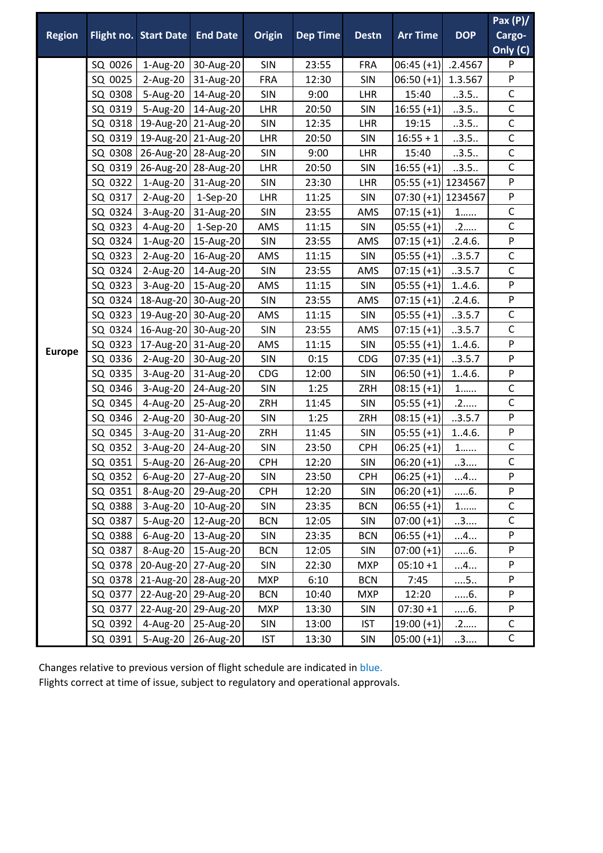|               |         |                                |                      |               |                 |              |                      |            | Pax $(P)/$                |
|---------------|---------|--------------------------------|----------------------|---------------|-----------------|--------------|----------------------|------------|---------------------------|
| <b>Region</b> |         | Flight no. Start Date End Date |                      | <b>Origin</b> | <b>Dep Time</b> | <b>Destn</b> | <b>Arr Time</b>      | <b>DOP</b> | Cargo-                    |
|               |         |                                |                      |               |                 |              |                      |            | Only (C)                  |
|               | SQ 0026 | 1-Aug-20                       | 30-Aug-20            | <b>SIN</b>    | 23:55           | <b>FRA</b>   | $06:45 (+1)$         | .2.4567    | P                         |
|               | SQ 0025 | $2-Aug-20$                     | 31-Aug-20            | <b>FRA</b>    | 12:30           | <b>SIN</b>   | $06:50 (+1)$         | 1.3.567    | $\boldsymbol{\mathsf{P}}$ |
|               | SQ 0308 | 5-Aug-20                       | 14-Aug-20            | <b>SIN</b>    | 9:00            | LHR          | 15:40                | .3.5.      | $\mathsf C$               |
|               | SQ 0319 | 5-Aug-20                       | 14-Aug-20            | LHR           | 20:50           | SIN          | $16:55 (+1)$         | .3.5.      | $\mathsf C$               |
|               | SQ 0318 |                                | 19-Aug-20 21-Aug-20  | <b>SIN</b>    | 12:35           | LHR          | 19:15                | .3.5.      | $\mathsf C$               |
|               | SQ 0319 |                                | 19-Aug-20 21-Aug-20  | LHR           | 20:50           | <b>SIN</b>   | $16:55 + 1$          | .3.5.      | $\mathsf{C}$              |
| <b>Europe</b> | SQ 0308 |                                | 26-Aug-20 28-Aug-20  | SIN           | 9:00            | LHR          | 15:40                | .3.5.      | $\mathsf C$               |
|               | SQ 0319 | 26-Aug-20                      | 28-Aug-20            | <b>LHR</b>    | 20:50           | <b>SIN</b>   | $16:55 (+1)$         | .3.5.      | $\mathsf{C}$              |
|               | SQ 0322 | 1-Aug-20                       | 31-Aug-20            | SIN           | 23:30           | LHR          | 05:55 (+1) 1234567   |            | $\boldsymbol{\mathsf{P}}$ |
|               | SQ 0317 | 2-Aug-20                       | 1-Sep-20             | LHR           | 11:25           | <b>SIN</b>   | $07:30 (+1)$ 1234567 |            | ${\sf P}$                 |
|               | SQ 0324 | 3-Aug-20                       | 31-Aug-20            | SIN           | 23:55           | AMS          | $07:15 (+1)$         | $1\ldots$  | $\mathsf{C}$              |
|               | SQ 0323 | 4-Aug-20                       | $1-Sep-20$           | AMS           | 11:15           | SIN          | $05:55 (+1)$         | .2         | $\mathsf{C}$              |
|               | SQ 0324 | 1-Aug-20                       | 15-Aug-20            | SIN           | 23:55           | AMS          | $07:15 (+1)$         | .2.4.6.    | ${\sf P}$                 |
|               | SQ 0323 | 2-Aug-20                       | 16-Aug-20            | AMS           | 11:15           | <b>SIN</b>   | $05:55 (+1)$         | .3.5.7     | $\mathsf C$               |
|               | SQ 0324 | 2-Aug-20                       | 14-Aug-20            | SIN           | 23:55           | AMS          | $07:15 (+1)$         | .3.5.7     | $\mathsf C$               |
|               | SQ 0323 | 3-Aug-20                       | 15-Aug-20            | AMS           | 11:15           | SIN          | $05:55 (+1)$         | 1.4.6.     | ${\sf P}$                 |
|               | SQ 0324 |                                | 18-Aug-20 30-Aug-20  | SIN           | 23:55           | AMS          | $07:15 (+1)$         | .2.4.6.    | ${\sf P}$                 |
|               | SQ 0323 | 19-Aug-20                      | 30-Aug-20            | AMS           | 11:15           | SIN          | $05:55 (+1)$         | .3.5.7     | $\mathsf{C}$              |
|               | SQ 0324 |                                | 16-Aug-20 30-Aug-20  | SIN           | 23:55           | AMS          | $07:15 (+1)$         | .3.5.7     | $\mathsf C$               |
|               | SQ 0323 |                                | 17-Aug-20 31-Aug-20  | AMS           | 11:15           | SIN          | $05:55 (+1)$         | 1.4.6.     | ${\sf P}$                 |
|               | SQ 0336 | 2-Aug-20                       | 30-Aug-20            | SIN           | 0:15            | <b>CDG</b>   | $07:35 (+1)$         | .3.5.7     | ${\sf P}$                 |
|               | SQ 0335 | 3-Aug-20                       | 31-Aug-20            | CDG           | 12:00           | <b>SIN</b>   | $06:50 (+1)$         | 1.4.6.     | ${\sf P}$                 |
|               | SQ 0346 | 3-Aug-20                       | 24-Aug-20            | SIN           | 1:25            | ZRH          | $08:15 (+1)$         | $1$        | $\mathsf C$               |
|               | SQ 0345 | 4-Aug-20                       | 25-Aug-20            | ZRH           | 11:45           | <b>SIN</b>   | $05:55 (+1)$         | .2         | $\mathsf C$               |
|               | SQ 0346 | 2-Aug-20                       | 30-Aug-20            | SIN           | 1:25            | ZRH          | $08:15 (+1)$         | .3.5.7     | P                         |
|               | SQ 0345 | 3-Aug-20                       | 31-Aug-20            | ZRH           | 11:45           | <b>SIN</b>   | $05:55 (+1)$         | 1.4.6.     | ${\sf P}$                 |
|               | SQ 0352 | 3-Aug-20                       | 24-Aug-20            | <b>SIN</b>    | 23:50           | <b>CPH</b>   | $06:25 (+1)$         | $1$        | $\mathsf C$               |
|               | SQ 0351 | 5-Aug-20                       | 26-Aug-20            | <b>CPH</b>    | 12:20           | SIN          | $06:20 (+1)$         | 3          | $\mathsf C$               |
|               | SQ 0352 |                                | 6-Aug-20   27-Aug-20 | SIN           | 23:50           | <b>CPH</b>   | $06:25 (+1)$         | 4          | $\mathsf{P}$              |
|               | SQ 0351 | 8-Aug-20                       | 29-Aug-20            | <b>CPH</b>    | 12:20           | SIN          | $06:20 (+1)$         | 6.         | ${\sf P}$                 |
|               | SQ 0388 | 3-Aug-20                       | 10-Aug-20            | SIN           | 23:35           | <b>BCN</b>   | $06:55 (+1)$         | $1$        | $\mathsf{C}$              |
|               | SQ 0387 |                                | 5-Aug-20   12-Aug-20 | <b>BCN</b>    | 12:05           | SIN          | $07:00 (+1)$         | .3         | $\mathsf{C}$              |
|               | SQ 0388 |                                | 6-Aug-20   13-Aug-20 | <b>SIN</b>    | 23:35           | <b>BCN</b>   | $06:55 (+1)$         | 4          | P                         |
|               | SQ 0387 |                                | 8-Aug-20   15-Aug-20 | <b>BCN</b>    | 12:05           | SIN          | $07:00 (+1)$         | 6.         | ${\sf P}$                 |
|               | SQ 0378 |                                | 20-Aug-20 27-Aug-20  | SIN           | 22:30           | <b>MXP</b>   | $05:10+1$            | 4          | ${\sf P}$                 |
|               | SQ 0378 |                                | 21-Aug-20 28-Aug-20  | <b>MXP</b>    | 6:10            | <b>BCN</b>   | 7:45                 | $\dots$ 5  | P                         |
|               | SQ 0377 |                                | 22-Aug-20 29-Aug-20  | <b>BCN</b>    | 10:40           | <b>MXP</b>   | 12:20                | 6.         | $\mathsf{P}$              |
|               | SQ 0377 |                                | 22-Aug-20 29-Aug-20  | <b>MXP</b>    | 13:30           | SIN          | $07:30 + 1$          | 6.         | ${\sf P}$                 |
|               | SQ 0392 |                                | 4-Aug-20 25-Aug-20   | SIN           | 13:00           | <b>IST</b>   | $19:00 (+1)$         | .2         | $\mathsf C$               |
|               | SQ 0391 |                                | 5-Aug-20 26-Aug-20   | <b>IST</b>    | 13:30           | <b>SIN</b>   | $05:00 (+1)$         | 3          | $\overline{\mathsf{C}}$   |

Changes relative to previous version of flight schedule are indicated in blue. Flights correct at time of issue, subject to regulatory and operational approvals.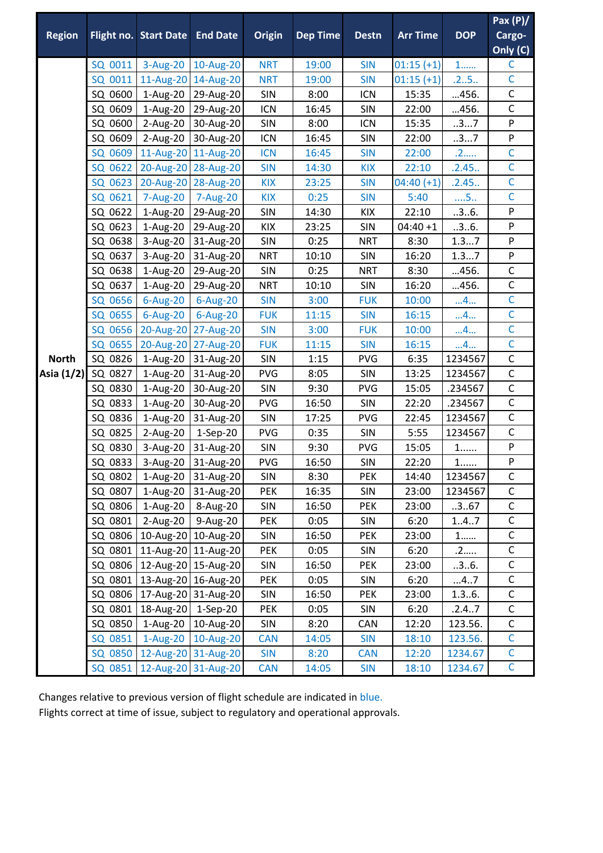|               |         |                                 |                      |               |                 |              |                 |            | Pax $(P)/$     |
|---------------|---------|---------------------------------|----------------------|---------------|-----------------|--------------|-----------------|------------|----------------|
| <b>Region</b> |         | Flight no. Start Date End Date  |                      | <b>Origin</b> | <b>Dep Time</b> | <b>Destn</b> | <b>Arr Time</b> | <b>DOP</b> | Cargo-         |
|               |         |                                 |                      |               |                 |              |                 |            | Only (C)       |
|               | SQ 0011 | 3-Aug-20                        | 10-Aug-20            | <b>NRT</b>    | 19:00           | <b>SIN</b>   | $01:15 (+1)$    | $1$        | $\mathsf{C}$   |
|               | SQ 0011 | 11-Aug-20                       | 14-Aug-20            | <b>NRT</b>    | 19:00           | <b>SIN</b>   | $01:15 (+1)$    | .25        | $\mathsf{C}$   |
|               | SQ 0600 | 1-Aug-20                        | 29-Aug-20            | SIN           | 8:00            | <b>ICN</b>   | 15:35           | 456.       | C              |
|               | SQ 0609 | 1-Aug-20                        | 29-Aug-20            | <b>ICN</b>    | 16:45           | <b>SIN</b>   | 22:00           | 456.       | $\mathsf C$    |
|               | SQ 0600 | 2-Aug-20                        | 30-Aug-20            | SIN           | 8:00            | <b>ICN</b>   | 15:35           | 37         | ${\sf P}$      |
|               | SQ 0609 | 2-Aug-20                        | 30-Aug-20            | ICN           | 16:45           | SIN          | 22:00           | 37         | $\sf P$        |
|               | SQ 0609 |                                 | 11-Aug-20 11-Aug-20  | <b>ICN</b>    | 16:45           | <b>SIN</b>   | 22:00           | .2         | $\overline{C}$ |
|               | SQ 0622 | 20-Aug-20                       | 28-Aug-20            | <b>SIN</b>    | 14:30           | <b>KIX</b>   | 22:10           | .2.45.     | $\mathsf{C}$   |
|               | SQ 0623 | 20-Aug-20                       | 28-Aug-20            | <b>KIX</b>    | 23:25           | <b>SIN</b>   | $04:40 (+1)$    | .2.45.     | $\mathsf{C}$   |
|               | SQ 0621 | 7-Aug-20                        | 7-Aug-20             | <b>KIX</b>    | 0:25            | <b>SIN</b>   | 5:40            | $\dots$ 5  | $\mathsf{C}$   |
|               | SQ 0622 | 1-Aug-20                        | 29-Aug-20            | <b>SIN</b>    | 14:30           | KIX          | 22:10           | .3.6.      | ${\sf P}$      |
|               | SQ 0623 | 1-Aug-20                        | 29-Aug-20            | KIX           | 23:25           | SIN          | $04:40 + 1$     | .3.6.      | ${\sf P}$      |
|               | SQ 0638 | 3-Aug-20                        | 31-Aug-20            | <b>SIN</b>    | 0:25            | <b>NRT</b>   | 8:30            | 1.37       | $\sf P$        |
|               | SQ 0637 | 3-Aug-20                        | 31-Aug-20            | <b>NRT</b>    | 10:10           | <b>SIN</b>   | 16:20           | 1.37       | ${\sf P}$      |
|               | SQ 0638 | 1-Aug-20                        | 29-Aug-20            | SIN           | 0:25            | <b>NRT</b>   | 8:30            | 456.       | $\mathsf C$    |
|               | SQ 0637 | 1-Aug-20                        | 29-Aug-20            | <b>NRT</b>    | 10:10           | <b>SIN</b>   | 16:20           | 456.       | $\mathsf{C}$   |
|               | SQ 0656 | 6-Aug-20                        | 6-Aug-20             | <b>SIN</b>    | 3:00            | <b>FUK</b>   | 10:00           | 4          | $\mathsf{C}$   |
|               | SQ 0655 | 6-Aug-20                        | 6-Aug-20             | <b>FUK</b>    | 11:15           | <b>SIN</b>   | 16:15           | 4          | $\mathsf{C}$   |
|               | SQ 0656 | 20-Aug-20                       | 27-Aug-20            | <b>SIN</b>    | 3:00            | <b>FUK</b>   | 10:00           | 4          | $\mathsf{C}$   |
|               | SQ 0655 |                                 | 20-Aug-20 27-Aug-20  | <b>FUK</b>    | 11:15           | <b>SIN</b>   | 16:15           | 4          | $\mathsf{C}$   |
| <b>North</b>  | SQ 0826 | 1-Aug-20                        | 31-Aug-20            | <b>SIN</b>    | 1:15            | <b>PVG</b>   | 6:35            | 1234567    | $\mathsf C$    |
| Asia (1/2)    | SQ 0827 | 1-Aug-20                        | 31-Aug-20            | <b>PVG</b>    | 8:05            | <b>SIN</b>   | 13:25           | 1234567    | $\mathsf C$    |
|               | SQ 0830 | 1-Aug-20                        | 30-Aug-20            | SIN           | 9:30            | PVG          | 15:05           | .234567    | $\mathsf C$    |
|               | SQ 0833 | 1-Aug-20                        | 30-Aug-20            | <b>PVG</b>    | 16:50           | <b>SIN</b>   | 22:20           | .234567    | $\mathsf C$    |
|               | SQ 0836 | 1-Aug-20                        | 31-Aug-20            | SIN           | 17:25           | <b>PVG</b>   | 22:45           | 1234567    | $\mathsf{C}$   |
|               | SQ 0825 | 2-Aug-20                        | $1-Sep-20$           | <b>PVG</b>    | 0:35            | <b>SIN</b>   | 5:55            | 1234567    | $\mathsf{C}$   |
|               | SQ 0830 | 3-Aug-20                        | 31-Aug-20            | SIN           | 9:30            | <b>PVG</b>   | 15:05           | $1$        | ${\sf P}$      |
|               | SQ 0833 | 3-Aug-20                        | 31-Aug-20            | <b>PVG</b>    | 16:50           | <b>SIN</b>   | 22:20           | $1$        | ${\sf P}$      |
|               | SQ 0802 |                                 | 1-Aug-20 31-Aug-20   | SIN           | 8:30            | <b>PEK</b>   | 14:40           | 1234567    | C              |
|               | SQ 0807 | 1-Aug-20                        | 31-Aug-20            | <b>PEK</b>    | 16:35           | <b>SIN</b>   | 23:00           | 1234567    | $\mathsf C$    |
|               | SQ 0806 | 1-Aug-20                        | 8-Aug-20             | <b>SIN</b>    | 16:50           | <b>PEK</b>   | 23:00           | .3.67      | $\mathsf C$    |
|               | SQ 0801 | 2-Aug-20                        | 9-Aug-20             | PEK           | 0:05            | <b>SIN</b>   | 6:20            | 1.4.7      | $\mathsf C$    |
|               | SQ 0806 |                                 | 10-Aug-20 10-Aug-20  | SIN           | 16:50           | <b>PEK</b>   | 23:00           | $1$        | $\mathsf{C}$   |
|               | SQ 0801 |                                 | 11-Aug-20 11-Aug-20  | <b>PEK</b>    | 0:05            | SIN          | 6:20            | .2         | $\mathsf C$    |
|               |         | SQ 0806   12-Aug-20   15-Aug-20 |                      | SIN           | 16:50           | <b>PEK</b>   | 23:00           | .3.6.      | $\mathsf{C}$   |
|               | SQ 0801 |                                 | 13-Aug-20 16-Aug-20  | PEK           | 0:05            | <b>SIN</b>   | 6:20            | 47         | $\mathsf C$    |
|               | SQ 0806 | 17-Aug-20 31-Aug-20             |                      | SIN           | 16:50           | <b>PEK</b>   | 23:00           | 1.36.      | $\mathsf C$    |
|               | SQ 0801 | 18-Aug-20 1-Sep-20              |                      | <b>PEK</b>    | 0:05            | <b>SIN</b>   | 6:20            | .2.47      | $\mathsf C$    |
|               | SQ 0850 |                                 | 1-Aug-20   10-Aug-20 | SIN           | 8:20            | CAN          | 12:20           | 123.56.    | $\mathsf C$    |
|               | SQ 0851 | 1-Aug-20                        | 10-Aug-20            | <b>CAN</b>    | 14:05           | <b>SIN</b>   | 18:10           | 123.56.    | $\mathsf{C}$   |
|               | SQ 0850 |                                 | 12-Aug-20 31-Aug-20  | <b>SIN</b>    | 8:20            | <b>CAN</b>   | 12:20           | 1234.67    | $\mathsf C$    |
|               | SQ 0851 |                                 | 12-Aug-20 31-Aug-20  | <b>CAN</b>    | 14:05           | <b>SIN</b>   | 18:10           | 1234.67    | $\mathsf{C}$   |

Changes relative to previous version of flight schedule are indicated in blue.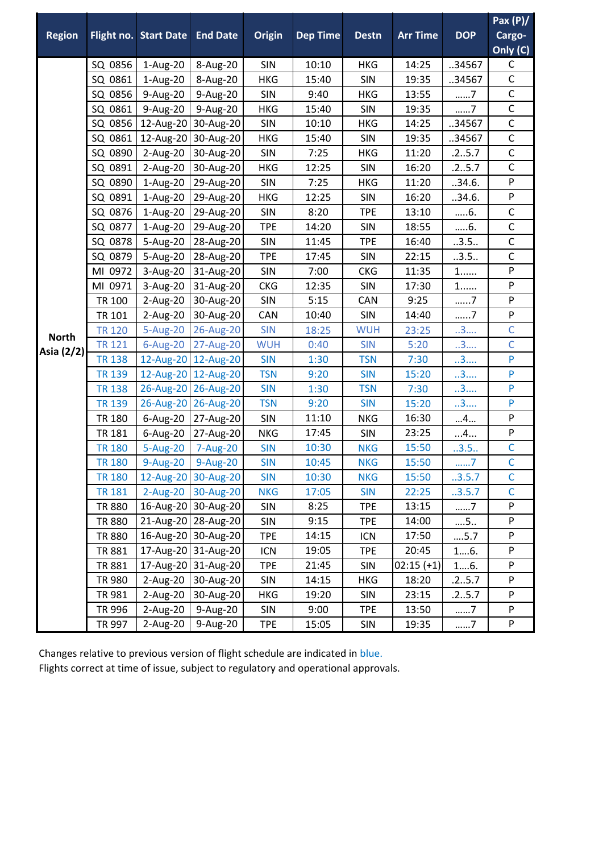|               |               |                                |                     |               |                 |              |                 |             | Pax $(P)/$     |
|---------------|---------------|--------------------------------|---------------------|---------------|-----------------|--------------|-----------------|-------------|----------------|
| <b>Region</b> |               | Flight no. Start Date End Date |                     | <b>Origin</b> | <b>Dep Time</b> | <b>Destn</b> | <b>Arr Time</b> | <b>DOP</b>  | Cargo-         |
|               |               |                                |                     |               |                 |              |                 |             | Only (C)       |
|               | SQ 0856       | 1-Aug-20                       | 8-Aug-20            | <b>SIN</b>    | 10:10           | <b>HKG</b>   | 14:25           | 34567       | $\mathsf C$    |
|               | SQ 0861       | 1-Aug-20                       | 8-Aug-20            | HKG           | 15:40           | SIN          | 19:35           | 34567       | $\mathsf C$    |
|               | SQ 0856       | 9-Aug-20                       | 9-Aug-20            | <b>SIN</b>    | 9:40            | <b>HKG</b>   | 13:55           | 7           | $\mathsf C$    |
|               | SQ 0861       | 9-Aug-20                       | 9-Aug-20            | <b>HKG</b>    | 15:40           | SIN          | 19:35           | 7           | $\mathsf C$    |
|               | SQ 0856       | 12-Aug-20                      | 30-Aug-20           | SIN           | 10:10           | HKG          | 14:25           | .34567      | $\mathsf C$    |
|               | SQ 0861       | 12-Aug-20                      | 30-Aug-20           | <b>HKG</b>    | 15:40           | SIN          | 19:35           | 34567       | $\mathsf{C}$   |
|               | SQ 0890       | 2-Aug-20                       | 30-Aug-20           | SIN           | 7:25            | <b>HKG</b>   | 11:20           | .25.7       | $\mathsf C$    |
|               | SQ 0891       | 2-Aug-20                       | 30-Aug-20           | HKG           | 12:25           | SIN          | 16:20           | .25.7       | $\mathsf C$    |
|               | SQ 0890       | 1-Aug-20                       | 29-Aug-20           | SIN           | 7:25            | <b>HKG</b>   | 11:20           | 34.6.       | ${\sf P}$      |
|               | SQ 0891       | 1-Aug-20                       | 29-Aug-20           | <b>HKG</b>    | 12:25           | SIN          | 16:20           | 34.6.       | P              |
|               | SQ 0876       | 1-Aug-20                       | 29-Aug-20           | SIN           | 8:20            | <b>TPE</b>   | 13:10           | $6$ .       | $\mathsf{C}$   |
|               | SQ 0877       | 1-Aug-20                       | 29-Aug-20           | <b>TPE</b>    | 14:20           | SIN          | 18:55           | 6.          | $\mathsf C$    |
|               | SQ 0878       | 5-Aug-20                       | 28-Aug-20           | SIN           | 11:45           | <b>TPE</b>   | 16:40           | .3.5.       | $\mathsf{C}$   |
|               | SQ 0879       | 5-Aug-20                       | 28-Aug-20           | <b>TPE</b>    | 17:45           | SIN          | 22:15           | .3.5.       | $\mathsf C$    |
|               | MI 0972       | 3-Aug-20                       | 31-Aug-20           | SIN           | 7:00            | <b>CKG</b>   | 11:35           | $1$         | ${\sf P}$      |
|               | MI 0971       | 3-Aug-20                       | 31-Aug-20           | <b>CKG</b>    | 12:35           | <b>SIN</b>   | 17:30           | $1$         | $\mathsf{P}$   |
|               | TR 100        | 2-Aug-20                       | 30-Aug-20           | SIN           | 5:15            | CAN          | 9:25            | 7           | P              |
|               | TR 101        | 2-Aug-20                       | 30-Aug-20           | CAN           | 10:40           | SIN          | 14:40           | $\dots .7$  | ${\sf P}$      |
| <b>North</b>  | <b>TR 120</b> | 5-Aug-20                       | 26-Aug-20           | <b>SIN</b>    | 18:25           | <b>WUH</b>   | 23:25           | 3           | $\mathsf{C}$   |
| Asia (2/2)    | <b>TR 121</b> | 6-Aug-20                       | 27-Aug-20           | <b>WUH</b>    | 0:40            | <b>SIN</b>   | 5:20            | 3           | $\mathsf{C}$   |
|               | <b>TR 138</b> | 12-Aug-20                      | 12-Aug-20           | <b>SIN</b>    | 1:30            | <b>TSN</b>   | 7:30            | 3           | ${\sf P}$      |
|               | <b>TR 139</b> |                                | 12-Aug-20 12-Aug-20 | <b>TSN</b>    | 9:20            | <b>SIN</b>   | 15:20           | 3           | P              |
|               | <b>TR 138</b> | 26-Aug-20                      | 26-Aug-20           | <b>SIN</b>    | 1:30            | <b>TSN</b>   | 7:30            | 3           | P              |
|               | <b>TR 139</b> | 26-Aug-20                      | 26-Aug-20           | <b>TSN</b>    | 9:20            | <b>SIN</b>   | 15:20           | 3           | P              |
|               | <b>TR 180</b> | 6-Aug-20                       | 27-Aug-20           | <b>SIN</b>    | 11:10           | <b>NKG</b>   | 16:30           | 4           | P              |
|               | <b>TR 181</b> | 6-Aug-20                       | 27-Aug-20           | <b>NKG</b>    | 17:45           | SIN          | 23:25           | 4           | P              |
|               | <b>TR 180</b> | 5-Aug-20                       | 7-Aug-20            | <b>SIN</b>    | 10:30           | <b>NKG</b>   | 15:50           | .3.5.       | $\mathsf C$    |
|               | <b>TR 180</b> | 9-Aug-20                       | 9-Aug-20            | <b>SIN</b>    | 10:45           | <b>NKG</b>   | 15:50           | 7           | $\overline{C}$ |
|               | <b>TR 180</b> |                                | 12-Aug-20 30-Aug-20 | <b>SIN</b>    | 10:30           | <b>NKG</b>   | 15:50           | .3.5.7      | $\mathsf{C}$   |
|               | <b>TR 181</b> |                                | 2-Aug-20 30-Aug-20  | <b>NKG</b>    | 17:05           | <b>SIN</b>   | 22:25           | .3.5.7      | $\mathsf{C}$   |
|               | <b>TR 880</b> |                                | 16-Aug-20 30-Aug-20 | SIN           | 8:25            | <b>TPE</b>   | 13:15           | 7           | P              |
|               | <b>TR 880</b> |                                | 21-Aug-20 28-Aug-20 | SIN           | 9:15            | <b>TPE</b>   | 14:00           | $\dots$ 5   | ${\sf P}$      |
|               | <b>TR 880</b> |                                | 16-Aug-20 30-Aug-20 | <b>TPE</b>    | 14:15           | <b>ICN</b>   | 17:50           | $\dots$ 5.7 | ${\sf P}$      |
|               | <b>TR 881</b> |                                | 17-Aug-20 31-Aug-20 | <b>ICN</b>    | 19:05           | <b>TPE</b>   | 20:45           | 16.         | P              |
|               | <b>TR 881</b> |                                | 17-Aug-20 31-Aug-20 | <b>TPE</b>    | 21:45           | SIN          | $02:15 (+1)$    | 16.         | ${\sf P}$      |
|               | <b>TR 980</b> | 2-Aug-20                       | 30-Aug-20           | SIN           | 14:15           | HKG          | 18:20           | .25.7       | P              |
|               | TR 981        | 2-Aug-20                       | 30-Aug-20           | <b>HKG</b>    | 19:20           | SIN          | 23:15           | .25.7       | $\mathsf{P}$   |
|               | TR 996        | 2-Aug-20                       | 9-Aug-20            | SIN           | 9:00            | <b>TPE</b>   | 13:50           | 7           | ${\sf P}$      |
|               | TR 997        | 2-Aug-20                       | 9-Aug-20            | <b>TPE</b>    | 15:05           | SIN          | 19:35           | 7           | ${\sf P}$      |

Changes relative to previous version of flight schedule are indicated in blue.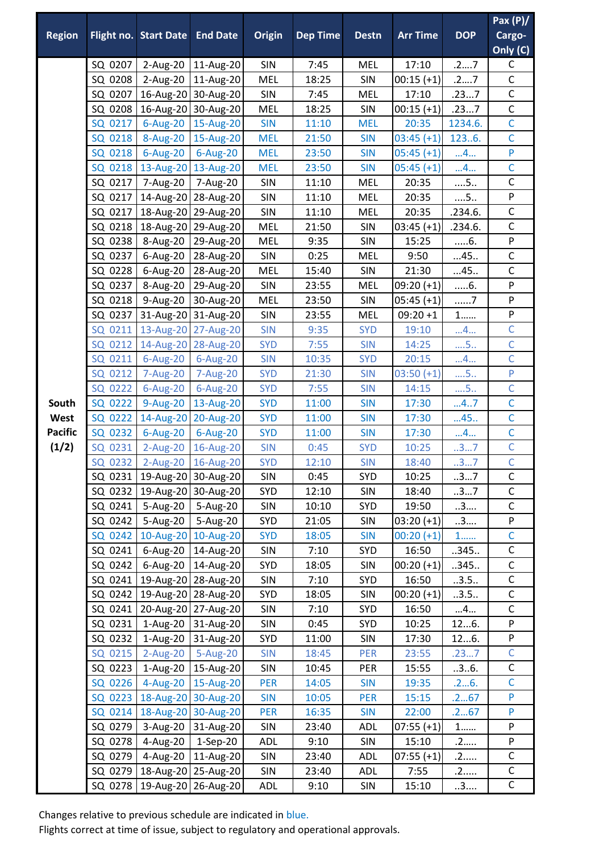| <b>Region</b>  |         | <b>Flight no. Start Date</b>    | <b>End Date</b>                 | <b>Origin</b> | <b>Dep Time</b> | <b>Destn</b> | <b>Arr Time</b> | <b>DOP</b> | Pax $(P)$<br>Cargo-<br>Only (C) |
|----------------|---------|---------------------------------|---------------------------------|---------------|-----------------|--------------|-----------------|------------|---------------------------------|
|                | SQ 0207 | 2-Aug-20                        | 11-Aug-20                       | SIN           | 7:45            | MEL          | 17:10           | .27        | C                               |
|                | SQ 0208 | 2-Aug-20                        | 11-Aug-20                       | <b>MEL</b>    | 18:25           | SIN          | $00:15 (+1)$    | .27        | $\mathsf C$                     |
|                | SQ 0207 |                                 | 16-Aug-20 30-Aug-20             | SIN           | 7:45            | <b>MEL</b>   | 17:10           | .237       | $\mathsf C$                     |
|                | SQ 0208 |                                 | 16-Aug-20 30-Aug-20             | MEL           | 18:25           | <b>SIN</b>   | $00:15 (+1)$    | .237       | $\mathsf C$                     |
|                | SQ 0217 | 6-Aug-20                        | 15-Aug-20                       | <b>SIN</b>    | 11:10           | <b>MEL</b>   | 20:35           | 1234.6.    | $\overline{C}$                  |
|                | SQ 0218 | 8-Aug-20                        | 15-Aug-20                       | <b>MEL</b>    | 21:50           | <b>SIN</b>   | $03:45 (+1)$    | 1236.      | $\mathsf{C}$                    |
|                | SQ 0218 | 6-Aug-20                        | 6-Aug-20                        | <b>MEL</b>    | 23:50           | <b>SIN</b>   | $05:45 (+1)$    | 4          | P                               |
|                | SQ 0218 | 13-Aug-20                       | 13-Aug-20                       | <b>MEL</b>    | 23:50           | <b>SIN</b>   | $05:45 (+1)$    | 4          | $\mathsf{C}$                    |
|                | SQ 0217 | 7-Aug-20                        | 7-Aug-20                        | SIN           | 11:10           | <b>MEL</b>   | 20:35           | $\dots$ 5  | $\mathsf C$                     |
|                | SQ 0217 | 14-Aug-20                       | 28-Aug-20                       | SIN           | 11:10           | MEL          | 20:35           | $\dots$ 5  | P                               |
|                | SQ 0217 |                                 | 18-Aug-20 29-Aug-20             | SIN           | 11:10           | <b>MEL</b>   | 20:35           | .234.6.    | $\mathsf{C}$                    |
|                | SQ 0218 | 18-Aug-20                       | 29-Aug-20                       | <b>MEL</b>    | 21:50           | <b>SIN</b>   | $03:45 (+1)$    | .234.6.    | $\mathsf{C}$                    |
|                | SQ 0238 | 8-Aug-20                        | 29-Aug-20                       | <b>MEL</b>    | 9:35            | <b>SIN</b>   | 15:25           | $6$ .      | ${\sf P}$                       |
|                | SQ 0237 | 6-Aug-20                        | 28-Aug-20                       | SIN           | 0:25            | <b>MEL</b>   | 9:50            | 45         | $\mathsf{C}$                    |
|                | SQ 0228 | 6-Aug-20                        | 28-Aug-20                       | <b>MEL</b>    | 15:40           | <b>SIN</b>   | 21:30           | 45         | $\mathsf C$                     |
|                | SQ 0237 | 8-Aug-20                        | 29-Aug-20                       | SIN           | 23:55           | <b>MEL</b>   | $09:20 (+1)$    | $6$ .      | ${\sf P}$                       |
|                | SQ 0218 | 9-Aug-20                        | 30-Aug-20                       | <b>MEL</b>    | 23:50           | <b>SIN</b>   | $05:45 (+1)$    | 7          | P                               |
|                | SQ 0237 |                                 | 31-Aug-20 31-Aug-20             | SIN           | 23:55           | <b>MEL</b>   | $09:20 + 1$     | $1$        | P                               |
|                | SQ 0211 | 13-Aug-20                       | 27-Aug-20                       | <b>SIN</b>    | 9:35            | <b>SYD</b>   | 19:10           | 4          | $\mathsf{C}$                    |
|                | SQ 0212 | 14-Aug-20                       | 28-Aug-20                       | <b>SYD</b>    | 7:55            | <b>SIN</b>   | 14:25           | $\dots$ 5  | $\overline{C}$                  |
|                | SQ 0211 | $6$ -Aug-20                     | 6-Aug-20                        | <b>SIN</b>    | 10:35           | <b>SYD</b>   | 20:15           | 4          | $\overline{C}$                  |
|                | SQ 0212 | 7-Aug-20                        | 7-Aug-20                        | <b>SYD</b>    | 21:30           | <b>SIN</b>   | $03:50 (+1)$    | $\dots$ 5  | ${\sf P}$                       |
|                | SQ 0222 | 6-Aug-20                        | 6-Aug-20                        | <b>SYD</b>    | 7:55            | <b>SIN</b>   | 14:15           | $\dots$ 5  | $\mathsf{C}$                    |
| South          | SQ 0222 | 9-Aug-20                        | 13-Aug-20                       | <b>SYD</b>    | 11:00           | <b>SIN</b>   | 17:30           | 47         | $\mathsf{C}$                    |
| West           | SQ 0222 | 14-Aug-20                       | 20-Aug-20                       | <b>SYD</b>    | 11:00           | <b>SIN</b>   | 17:30           | 45         | $\mathsf{C}$                    |
| <b>Pacific</b> | SQ 0232 | 6-Aug-20                        | 6-Aug-20                        | <b>SYD</b>    | 11:00           | <b>SIN</b>   | 17:30           | 4          | $\overline{C}$                  |
| (1/2)          | SQ 0231 | $2-Aug-20$                      | 16-Aug-20                       | <b>SIN</b>    | 0:45            | <b>SYD</b>   | 10:25           | 37         | $\mathsf C$                     |
|                | SQ 0232 | $2$ -Aug-20                     | 16-Aug-20                       | <b>SYD</b>    | 12:10           | <b>SIN</b>   | 18:40           | 37         | $\overline{C}$                  |
|                |         |                                 | SQ 0231   19-Aug-20   30-Aug-20 | <b>SIN</b>    | 0:45            | SYD          | 10:25           | 37         | C                               |
|                |         | SQ 0232   19-Aug-20   30-Aug-20 |                                 | SYD           | 12:10           | <b>SIN</b>   | 18:40           | 37         | $\mathsf{C}$                    |
|                | SQ 0241 | 5-Aug-20                        | 5-Aug-20                        | SIN           | 10:10           | SYD          | 19:50           | 3          | $\mathsf C$                     |
|                | SQ 0242 | 5-Aug-20                        | 5-Aug-20                        | <b>SYD</b>    | 21:05           | SIN          | $03:20 (+1)$    | 3          | P                               |
|                | SQ 0242 |                                 | 10-Aug-20 10-Aug-20             | <b>SYD</b>    | 18:05           | <b>SIN</b>   | $00:20 (+1)$    | $1$        | $\overline{C}$                  |
|                | SQ 0241 | 6-Aug-20                        | 14-Aug-20                       | SIN           | 7:10            | SYD          | 16:50           | .345.      | $\mathsf{C}$                    |
|                | SQ 0242 | 6-Aug-20                        | 14-Aug-20                       | SYD           | 18:05           | <b>SIN</b>   | $00:20 (+1)$    | .345.      | $\mathsf C$                     |
|                | SQ 0241 |                                 | 19-Aug-20 28-Aug-20             | SIN           | 7:10            | SYD          | 16:50           | .3.5.      | $\mathsf{C}$                    |
|                | SQ 0242 |                                 | 19-Aug-20 28-Aug-20             | SYD           | 18:05           | SIN          | $00:20 (+1)$    | .3.5.      | $\mathsf C$                     |
|                | SQ 0241 |                                 | 20-Aug-20 27-Aug-20             | SIN           | 7:10            | SYD          | 16:50           | 4          | $\mathsf C$                     |
|                | SQ 0231 | $1-Aug-20$                      | 31-Aug-20                       | SIN           | 0:45            | SYD          | 10:25           | 126.       | P                               |
|                | SQ 0232 | $1-Aug-20$                      | 31-Aug-20                       | SYD           | 11:00           | <b>SIN</b>   | 17:30           | 126.       | ${\sf P}$                       |
|                | SQ 0215 | $2$ -Aug-20                     | 5-Aug-20                        | <b>SIN</b>    | 18:45           | PER          | 23:55           | .237       | $\mathsf{C}$                    |
|                | SQ 0223 | 1-Aug-20                        | 15-Aug-20                       | SIN           | 10:45           | PER          | 15:55           | .3.6.      | $\mathsf C$                     |
|                | SQ 0226 | 4-Aug-20                        | 15-Aug-20                       | <b>PER</b>    | 14:05           | <b>SIN</b>   | 19:35           | .26.       | $\mathsf{C}$                    |
|                | SQ 0223 |                                 | 18-Aug-20 30-Aug-20             | <b>SIN</b>    | 10:05           | <b>PER</b>   | 15:15           | .267       | P                               |
|                | SQ 0214 |                                 | 18-Aug-20 30-Aug-20             | <b>PER</b>    | 16:35           | <b>SIN</b>   | 22:00           | .267       | P                               |
|                | SQ 0279 | 3-Aug-20                        | 31-Aug-20                       | SIN           | 23:40           | <b>ADL</b>   | $07:55 (+1)$    | $1$        | P                               |
|                | SQ 0278 | 4-Aug-20                        | $1-Sep-20$                      | <b>ADL</b>    | 9:10            | <b>SIN</b>   | 15:10           | .2         | ${\sf P}$                       |
|                | SQ 0279 | 4-Aug-20                        | 11-Aug-20                       | SIN           | 23:40           | ADL          | $07:55 (+1)$    | .2         | $\mathsf{C}$                    |
|                | SQ 0279 |                                 | 18-Aug-20 25-Aug-20             | SIN           | 23:40           | <b>ADL</b>   | 7:55            | .2         | $\mathsf C$<br>$\mathsf C$      |
|                |         | SQ 0278   19-Aug-20   26-Aug-20 |                                 | ADL           | 9:10            | SIN          | 15:10           | 3          |                                 |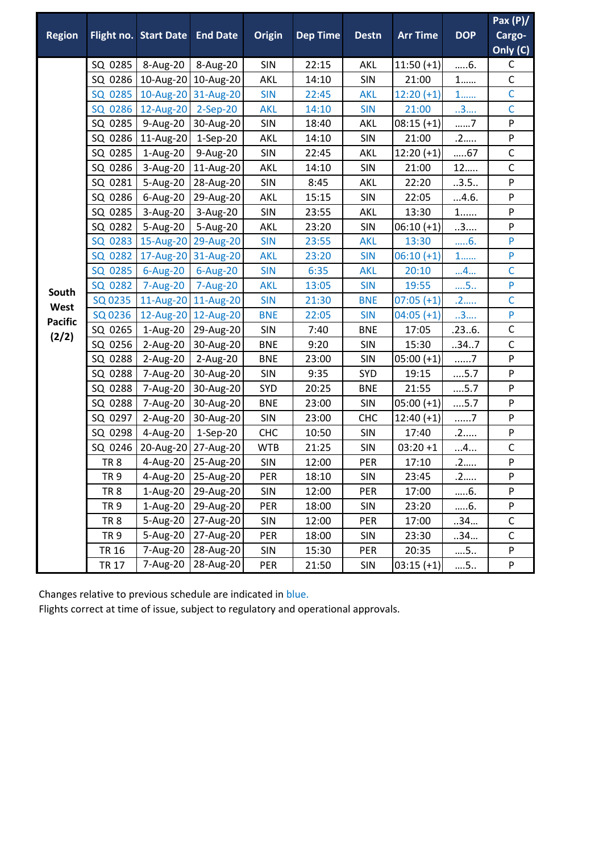|                |                 |                                |                     |               |                 |              |                 |                  | Pax $(P)/$                |
|----------------|-----------------|--------------------------------|---------------------|---------------|-----------------|--------------|-----------------|------------------|---------------------------|
| <b>Region</b>  |                 | Flight no. Start Date End Date |                     | <b>Origin</b> | <b>Dep Time</b> | <b>Destn</b> | <b>Arr Time</b> | <b>DOP</b>       | Cargo-                    |
|                |                 |                                |                     |               |                 |              |                 |                  | Only (C)                  |
|                | SQ 0285         | 8-Aug-20                       | 8-Aug-20            | SIN           | 22:15           | <b>AKL</b>   | $11:50 (+1)$    | 6.               | $\mathsf C$               |
|                | SQ 0286         |                                | 10-Aug-20 10-Aug-20 | <b>AKL</b>    | 14:10           | SIN          | 21:00           | $1$              | $\mathsf C$               |
|                | SQ 0285         | 10-Aug-20                      | 31-Aug-20           | <b>SIN</b>    | 22:45           | <b>AKL</b>   | $12:20 (+1)$    | 1                | $\mathsf{C}$              |
|                | SQ 0286         | 12-Aug-20                      | 2-Sep-20            | <b>AKL</b>    | 14:10           | <b>SIN</b>   | 21:00           | 3                | $\mathsf{C}$              |
|                | SQ 0285         | 9-Aug-20                       | 30-Aug-20           | SIN           | 18:40           | <b>AKL</b>   | $08:15 (+1)$    | 7                | ${\sf P}$                 |
|                | SQ 0286         | 11-Aug-20                      | 1-Sep-20            | <b>AKL</b>    | 14:10           | SIN          | 21:00           | .2               | ${\sf P}$                 |
|                | SQ 0285         | $1-Aug-20$                     | 9-Aug-20            | SIN           | 22:45           | <b>AKL</b>   | $12:20 (+1)$    | 67               | $\mathsf C$               |
|                | SQ 0286         | 3-Aug-20                       | 11-Aug-20           | <b>AKL</b>    | 14:10           | <b>SIN</b>   | 21:00           | 12               | $\mathsf C$               |
|                | SQ 0281         | 5-Aug-20                       | 28-Aug-20           | SIN           | 8:45            | <b>AKL</b>   | 22:20           | .3.5.            | $\boldsymbol{\mathsf{P}}$ |
|                | SQ 0286         | 6-Aug-20                       | 29-Aug-20           | <b>AKL</b>    | 15:15           | SIN          | 22:05           | 4.6.             | ${\sf P}$                 |
|                | SQ 0285         | 3-Aug-20                       | 3-Aug-20            | SIN           | 23:55           | <b>AKL</b>   | 13:30           | $1,\ldots\ldots$ | P                         |
|                | SQ 0282         | 5-Aug-20                       | 5-Aug-20            | AKL           | 23:20           | SIN          | $06:10 (+1)$    | 3                | ${\sf P}$                 |
|                | SQ 0283         | 15-Aug-20                      | 29-Aug-20           | <b>SIN</b>    | 23:55           | <b>AKL</b>   | 13:30           | 6.               | P                         |
|                | SQ 0282         | 17-Aug-20                      | 31-Aug-20           | <b>AKL</b>    | 23:20           | <b>SIN</b>   | $06:10 (+1)$    | $1$              | $\mathsf{P}$              |
|                | SQ 0285         | 6-Aug-20                       | 6-Aug-20            | <b>SIN</b>    | 6:35            | <b>AKL</b>   | 20:10           | 4                | $\mathsf{C}$              |
| South          | SQ 0282         | 7-Aug-20                       | 7-Aug-20            | <b>AKL</b>    | 13:05           | <b>SIN</b>   | 19:55           | 5                | $\mathsf{P}$              |
| West           | SQ 0235         |                                | 11-Aug-20 11-Aug-20 | <b>SIN</b>    | 21:30           | <b>BNE</b>   | $07:05 (+1)$    | .2               | $\mathsf{C}$              |
| <b>Pacific</b> | SQ 0236         | 12-Aug-20                      | 12-Aug-20           | <b>BNE</b>    | 22:05           | <b>SIN</b>   | $04:05 (+1)$    | 3                | ${\sf P}$                 |
| (2/2)          | SQ 0265         | 1-Aug-20                       | 29-Aug-20           | SIN           | 7:40            | <b>BNE</b>   | 17:05           | .236.            | $\mathsf C$               |
|                | SQ 0256         | 2-Aug-20                       | 30-Aug-20           | <b>BNE</b>    | 9:20            | <b>SIN</b>   | 15:30           | .34.7            | $\mathsf C$               |
|                | SQ 0288         | 2-Aug-20                       | 2-Aug-20            | <b>BNE</b>    | 23:00           | SIN          | 05:00 (+1)      | $\dots 7$        | ${\sf P}$                 |
|                | SQ 0288         | 7-Aug-20                       | 30-Aug-20           | <b>SIN</b>    | 9:35            | SYD          | 19:15           | $\dots$ 5.7      | P                         |
|                | SQ 0288         | 7-Aug-20                       | 30-Aug-20           | SYD           | 20:25           | <b>BNE</b>   | 21:55           | 5.7              | ${\sf P}$                 |
|                | SQ 0288         | 7-Aug-20                       | 30-Aug-20           | <b>BNE</b>    | 23:00           | SIN          | $05:00 (+1)$    | $\dots$ 5.7      | ${\sf P}$                 |
|                | SQ 0297         | 2-Aug-20                       | 30-Aug-20           | SIN           | 23:00           | CHC          | $12:40 (+1)$    | 7                | ${\sf P}$                 |
|                | SQ 0298         | 4-Aug-20                       | $1-Sep-20$          | <b>CHC</b>    | 10:50           | SIN          | 17:40           | .2               | $\boldsymbol{\mathsf{P}}$ |
|                | SQ 0246         | 20-Aug-20                      | 27-Aug-20           | <b>WTB</b>    | 21:25           | SIN          | $03:20 + 1$     | 4                | $\mathsf C$               |
|                | TR <sub>8</sub> |                                | 4-Aug-20 25-Aug-20  | SIN           | 12:00           | PER          | 17:10           | .2               | $\boldsymbol{\mathsf{P}}$ |
|                | <b>TR9</b>      | 4-Aug-20                       | 25-Aug-20           | PER           | 18:10           | SIN          | 23:45           | .2               | P                         |
|                | TR <sub>8</sub> | 1-Aug-20                       | 29-Aug-20           | <b>SIN</b>    | 12:00           | PER          | 17:00           | 6.               | P                         |
|                | TR <sub>9</sub> | 1-Aug-20                       | 29-Aug-20           | PER           | 18:00           | SIN          | 23:20           | $6$ .            | P                         |
|                | TR <sub>8</sub> | 5-Aug-20                       | 27-Aug-20           | SIN           | 12:00           | PER          | 17:00           | 34               | $\mathsf C$               |
|                | <b>TR9</b>      | 5-Aug-20                       | 27-Aug-20           | PER           | 18:00           | SIN          | 23:30           | 34               | $\mathsf C$               |
|                | <b>TR 16</b>    | 7-Aug-20                       | 28-Aug-20           | SIN           | 15:30           | PER          | 20:35           | $\dots$ 5        | ${\sf P}$                 |
|                | <b>TR 17</b>    | 7-Aug-20                       | 28-Aug-20           | PER           | 21:50           | SIN          | $03:15 (+1)$    | $\dots$ 5        | ${\sf P}$                 |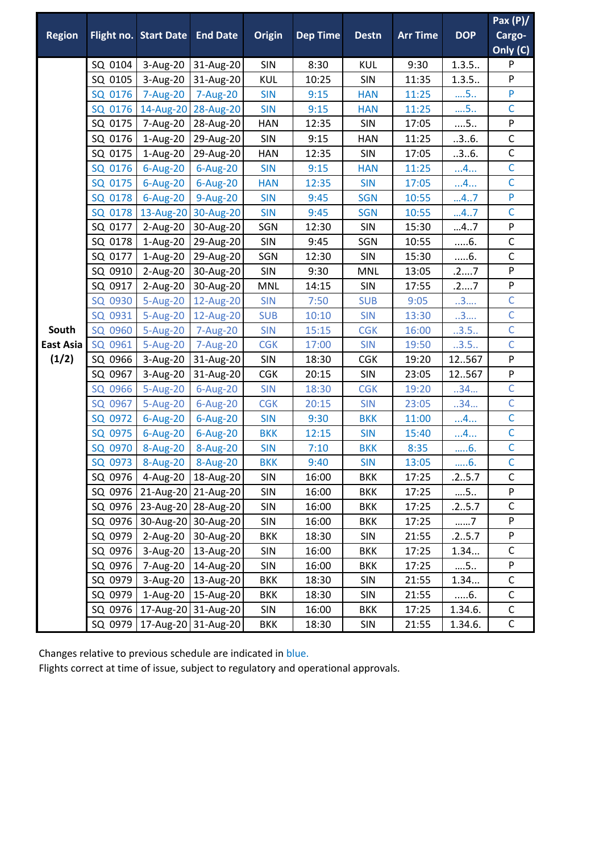|                  |         |                                 |                      |               |                 |              |                 |            | Pax $(P)/$   |
|------------------|---------|---------------------------------|----------------------|---------------|-----------------|--------------|-----------------|------------|--------------|
| <b>Region</b>    |         | Flight no. Start Date End Date  |                      | <b>Origin</b> | <b>Dep Time</b> | <b>Destn</b> | <b>Arr Time</b> | <b>DOP</b> | Cargo-       |
|                  |         |                                 |                      |               |                 |              |                 |            | Only (C)     |
|                  | SQ 0104 | 3-Aug-20                        | 31-Aug-20            | SIN           | 8:30            | <b>KUL</b>   | 9:30            | 1.3.5.     | $\mathsf{P}$ |
|                  | SQ 0105 | 3-Aug-20                        | 31-Aug-20            | KUL           | 10:25           | <b>SIN</b>   | 11:35           | 1.3.5.     | ${\sf P}$    |
|                  | SQ 0176 | 7-Aug-20                        | 7-Aug-20             | <b>SIN</b>    | 9:15            | <b>HAN</b>   | 11:25           | $\dots$ 5  | P            |
|                  | SQ 0176 | 14-Aug-20                       | 28-Aug-20            | <b>SIN</b>    | 9:15            | <b>HAN</b>   | 11:25           | $\dots$ 5  | $\mathsf{C}$ |
|                  | SQ 0175 | 7-Aug-20                        | 28-Aug-20            | <b>HAN</b>    | 12:35           | <b>SIN</b>   | 17:05           | $\dots$ 5  | ${\sf P}$    |
|                  | SQ 0176 | 1-Aug-20                        | 29-Aug-20            | SIN           | 9:15            | <b>HAN</b>   | 11:25           | .3.6.      | $\mathsf C$  |
|                  | SQ 0175 | $1-Aug-20$                      | 29-Aug-20            | <b>HAN</b>    | 12:35           | SIN          | 17:05           | .3.6.      | $\mathsf C$  |
|                  | SQ 0176 | $6$ -Aug-20                     | 6-Aug-20             | <b>SIN</b>    | 9:15            | <b>HAN</b>   | 11:25           | 4          | $\mathsf{C}$ |
|                  | SQ 0175 | $6$ -Aug-20                     | 6-Aug-20             | <b>HAN</b>    | 12:35           | <b>SIN</b>   | 17:05           | 4          | $\mathsf{C}$ |
|                  | SQ 0178 | 6-Aug-20                        | 9-Aug-20             | <b>SIN</b>    | 9:45            | <b>SGN</b>   | 10:55           | 47         | P            |
|                  | SQ 0178 | 13-Aug-20                       | 30-Aug-20            | <b>SIN</b>    | 9:45            | <b>SGN</b>   | 10:55           | 47         | $\mathsf{C}$ |
|                  | SQ 0177 | 2-Aug-20                        | 30-Aug-20            | SGN           | 12:30           | SIN          | 15:30           | 47         | P            |
|                  | SQ 0178 | 1-Aug-20                        | 29-Aug-20            | SIN           | 9:45            | SGN          | 10:55           | $6$ .      | $\mathsf{C}$ |
|                  | SQ 0177 | 1-Aug-20                        | 29-Aug-20            | SGN           | 12:30           | SIN          | 15:30           | $6$ .      | $\mathsf C$  |
|                  | SQ 0910 | 2-Aug-20                        | 30-Aug-20            | SIN           | 9:30            | MNL          | 13:05           | .27        | ${\sf P}$    |
|                  | SQ 0917 | 2-Aug-20                        | 30-Aug-20            | <b>MNL</b>    | 14:15           | SIN          | 17:55           | .27        | ${\sf P}$    |
|                  | SQ 0930 | 5-Aug-20                        | 12-Aug-20            | <b>SIN</b>    | 7:50            | <b>SUB</b>   | 9:05            | 3          | $\mathsf{C}$ |
|                  | SQ 0931 | 5-Aug-20                        | 12-Aug-20            | <b>SUB</b>    | 10:10           | <b>SIN</b>   | 13:30           | 3          | $\mathsf{C}$ |
| South            | SQ 0960 | 5-Aug-20                        | 7-Aug-20             | <b>SIN</b>    | 15:15           | <b>CGK</b>   | 16:00           | .3.5.      | $\mathsf{C}$ |
| <b>East Asia</b> | SQ 0961 | 5-Aug-20                        | 7-Aug-20             | <b>CGK</b>    | 17:00           | <b>SIN</b>   | 19:50           | .3.5.      | $\mathsf{C}$ |
| (1/2)            | SQ 0966 | 3-Aug-20                        | 31-Aug-20            | SIN           | 18:30           | <b>CGK</b>   | 19:20           | 12567      | ${\sf P}$    |
|                  | SQ 0967 | 3-Aug-20                        | 31-Aug-20            | <b>CGK</b>    | 20:15           | <b>SIN</b>   | 23:05           | 12567      | ${\sf P}$    |
|                  | SQ 0966 | 5-Aug-20                        | 6-Aug-20             | <b>SIN</b>    | 18:30           | <b>CGK</b>   | 19:20           | .34        | $\mathsf{C}$ |
|                  | SQ 0967 | 5-Aug-20                        | 6-Aug-20             | <b>CGK</b>    | 20:15           | <b>SIN</b>   | 23:05           | 34         | $\mathsf{C}$ |
|                  | SQ 0972 | 6-Aug-20                        | 6-Aug-20             | <b>SIN</b>    | 9:30            | <b>BKK</b>   | 11:00           | 4          | $\mathsf{C}$ |
|                  | SQ 0975 | 6-Aug-20                        | $6$ -Aug-20          | <b>BKK</b>    | 12:15           | <b>SIN</b>   | 15:40           | 4          | $\mathsf{C}$ |
|                  | SQ 0970 | 8-Aug-20                        | 8-Aug-20             | <b>SIN</b>    | 7:10            | <b>BKK</b>   | 8:35            | 6.         | $\mathsf C$  |
|                  | SQ 0973 | 8-Aug-20                        | 8-Aug-20             | <b>BKK</b>    | 9:40            | <b>SIN</b>   | 13:05           | 6.         | $\mathsf{C}$ |
|                  | SQ 0976 |                                 | 4-Aug-20   18-Aug-20 | SIN           | 16:00           | <b>BKK</b>   | 17:25           | .25.7      | C            |
|                  | SQ 0976 |                                 | 21-Aug-20 21-Aug-20  | <b>SIN</b>    | 16:00           | <b>BKK</b>   | 17:25           | $\dots$ 5  | P            |
|                  | SQ 0976 |                                 | 23-Aug-20 28-Aug-20  | SIN           | 16:00           | <b>BKK</b>   | 17:25           | .25.7      | $\mathsf C$  |
|                  | SQ 0976 |                                 | 30-Aug-20 30-Aug-20  | SIN           | 16:00           | <b>BKK</b>   | 17:25           | 7          | ${\sf P}$    |
|                  | SQ 0979 | 2-Aug-20                        | 30-Aug-20            | <b>BKK</b>    | 18:30           | <b>SIN</b>   | 21:55           | .25.7      | P            |
|                  | SQ 0976 | 3-Aug-20                        | 13-Aug-20            | SIN           | 16:00           | <b>BKK</b>   | 17:25           | 1.34       | $\mathsf C$  |
|                  | SQ 0976 | 7-Aug-20                        | 14-Aug-20            | <b>SIN</b>    | 16:00           | <b>BKK</b>   | 17:25           | $\dots$ 5  | ${\sf P}$    |
|                  | SQ 0979 | 3-Aug-20                        | 13-Aug-20            | <b>BKK</b>    | 18:30           | SIN          | 21:55           | 1.34       | $\mathsf C$  |
|                  | SQ 0979 |                                 | 1-Aug-20   15-Aug-20 | <b>BKK</b>    | 18:30           | SIN          | 21:55           | $6$ .      | $\mathsf C$  |
|                  | SQ 0976 |                                 | 17-Aug-20 31-Aug-20  | SIN           | 16:00           | <b>BKK</b>   | 17:25           | 1.34.6.    | $\mathsf C$  |
|                  |         | SQ 0979   17-Aug-20   31-Aug-20 |                      | <b>BKK</b>    | 18:30           | SIN          | 21:55           | 1.34.6.    | $\mathsf C$  |